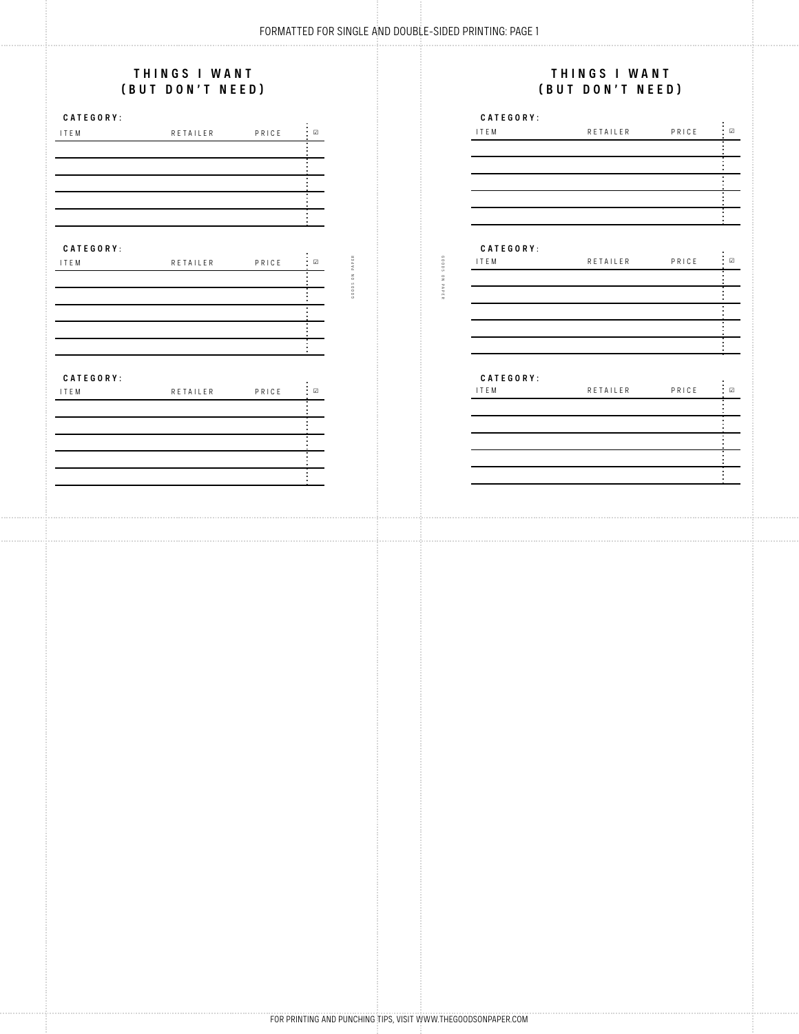GOODS ON PAPER

GOODS ON PAPER

GOODS ON PAPER

### **THINGS I WANT (BUT DON'T NEED)**

# **CATEGORY:** ITEM RETAILER PRICE ☑  $\mathcal{L}_{\mathrm{max}}$ ŧ. ÷. **CATEGORY :** GOODS ON PAPER ITEM RETAILER PRICE ☑  $\equiv$  $\overline{\mathbb{R}}$ Ĭ, ÷. ÷ **CATEGORY:** UNILUSA...<br>ITEM RETAILER PRICE ∶⊠ ŧ.

## **THINGS I WANT (BUT DON'T NEED)**

| CATEGORY:   |                 |       |                                 |
|-------------|-----------------|-------|---------------------------------|
| <b>ITEM</b> | RETAILER        | PRICE | ∶ ☑                             |
|             |                 |       |                                 |
|             |                 |       |                                 |
|             |                 |       |                                 |
|             |                 |       | ٠                               |
|             |                 |       |                                 |
|             |                 |       |                                 |
|             |                 |       |                                 |
|             |                 |       |                                 |
| CATEGORY:   |                 |       |                                 |
| <b>ITEM</b> | <b>RETAILER</b> | PRICE | $\vdots$<br>$\overline{\omega}$ |
|             |                 |       |                                 |
|             |                 |       |                                 |
|             |                 |       |                                 |
|             |                 |       |                                 |
|             |                 |       |                                 |
|             |                 |       | ٠                               |
|             |                 |       |                                 |
|             |                 |       |                                 |
| CATEGORY:   |                 |       |                                 |
| ITEM        | RETAILER        | PRICE | i<br>☑                          |
|             |                 |       |                                 |
|             |                 |       |                                 |
|             |                 |       |                                 |
|             |                 |       | ٠                               |
|             |                 |       | ī                               |
|             |                 |       | ٠                               |
|             |                 |       |                                 |